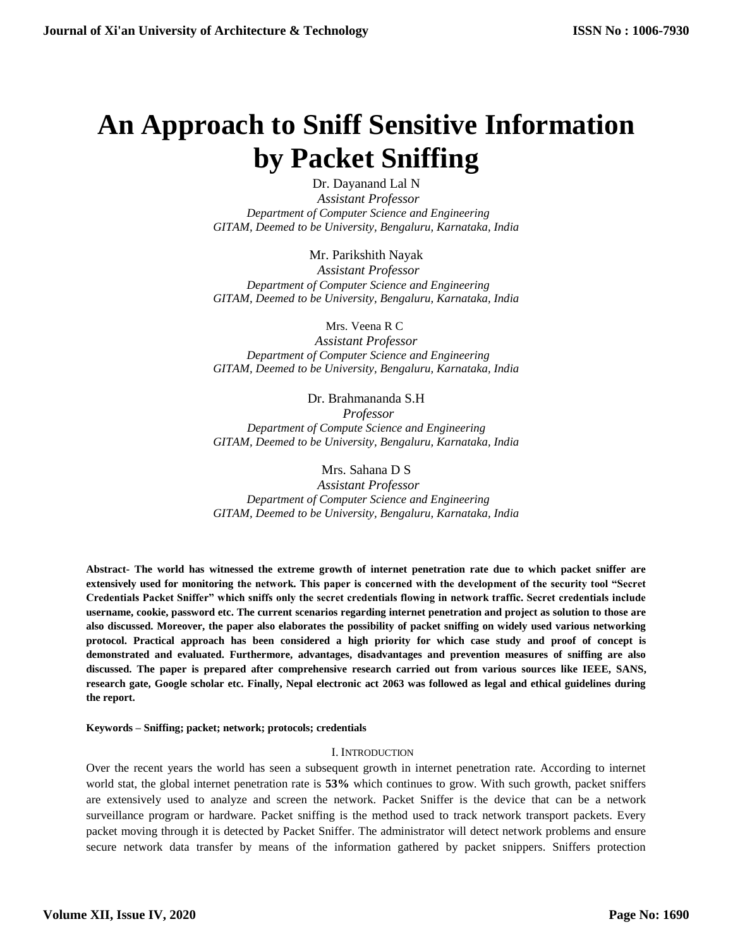# **An Approach to Sniff Sensitive Information by Packet Sniffing**

Dr. Dayanand Lal N  *Assistant Professor Department of Computer Science and Engineering GITAM, Deemed to be University, Bengaluru, Karnataka, India*

Mr. Parikshith Nayak  *Assistant Professor Department of Computer Science and Engineering GITAM, Deemed to be University, Bengaluru, Karnataka, India*

 Mrs. Veena R C *Assistant Professor Department of Computer Science and Engineering GITAM, Deemed to be University, Bengaluru, Karnataka, India*

Dr. Brahmananda S.H  *Professor Department of Compute Science and Engineering GITAM, Deemed to be University, Bengaluru, Karnataka, India*

Mrs. Sahana D S  *Assistant Professor Department of Computer Science and Engineering GITAM, Deemed to be University, Bengaluru, Karnataka, India*

**Abstract- The world has witnessed the extreme growth of internet penetration rate due to which packet sniffer are extensively used for monitoring the network. This paper is concerned with the development of the security tool "Secret Credentials Packet Sniffer" which sniffs only the secret credentials flowing in network traffic. Secret credentials include username, cookie, password etc. The current scenarios regarding internet penetration and project as solution to those are also discussed. Moreover, the paper also elaborates the possibility of packet sniffing on widely used various networking protocol. Practical approach has been considered a high priority for which case study and proof of concept is demonstrated and evaluated. Furthermore, advantages, disadvantages and prevention measures of sniffing are also discussed. The paper is prepared after comprehensive research carried out from various sources like IEEE, SANS, research gate, Google scholar etc. Finally, Nepal electronic act 2063 was followed as legal and ethical guidelines during the report.**

**Keywords – Sniffing; packet; network; protocols; credentials**

# I. INTRODUCTION

Over the recent years the world has seen a subsequent growth in internet penetration rate. According to internet world stat, the global internet penetration rate is **53%** which continues to grow. With such growth, packet sniffers are extensively used to analyze and screen the network. Packet Sniffer is the device that can be a network surveillance program or hardware. Packet sniffing is the method used to track network transport packets. Every packet moving through it is detected by Packet Sniffer. The administrator will detect network problems and ensure secure network data transfer by means of the information gathered by packet snippers. Sniffers protection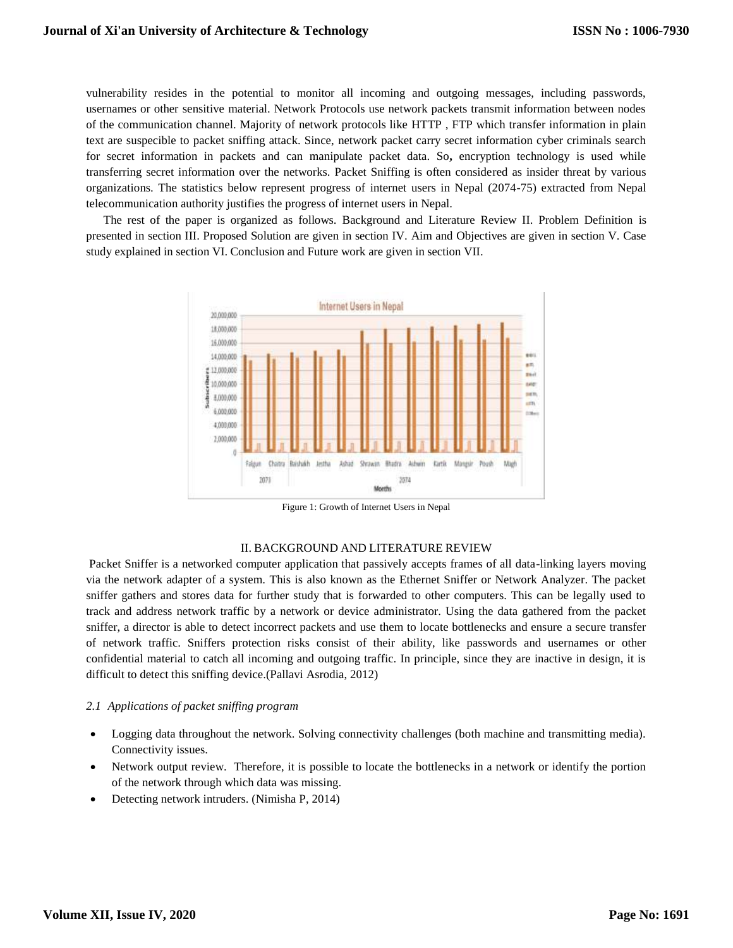vulnerability resides in the potential to monitor all incoming and outgoing messages, including passwords, usernames or other sensitive material. Network Protocols use network packets transmit information between nodes of the communication channel. Majority of network protocols like HTTP , FTP which transfer information in plain text are suspecible to packet sniffing attack. Since, network packet carry secret information cyber criminals search for secret information in packets and can manipulate packet data. So**,** encryption technology is used while transferring secret information over the networks. Packet Sniffing is often considered as insider threat by various organizations. The statistics below represent progress of internet users in Nepal (2074-75) extracted from Nepal telecommunication authority justifies the progress of internet users in Nepal.

The rest of the paper is organized as follows. Background and Literature Review II. Problem Definition is presented in section III. Proposed Solution are given in section IV. Aim and Objectives are given in section V. Case study explained in section VI. Conclusion and Future work are given in section VII.



Figure 1: Growth of Internet Users in Nepal

# II. BACKGROUND AND LITERATURE REVIEW

Packet Sniffer is a networked computer application that passively accepts frames of all data-linking layers moving via the network adapter of a system. This is also known as the Ethernet Sniffer or Network Analyzer. The packet sniffer gathers and stores data for further study that is forwarded to other computers. This can be legally used to track and address network traffic by a network or device administrator. Using the data gathered from the packet sniffer, a director is able to detect incorrect packets and use them to locate bottlenecks and ensure a secure transfer of network traffic. Sniffers protection risks consist of their ability, like passwords and usernames or other confidential material to catch all incoming and outgoing traffic. In principle, since they are inactive in design, it is difficult to detect this sniffing device.(Pallavi Asrodia, 2012)

# *2.1 Applications of packet sniffing program*

- Logging data throughout the network. Solving connectivity challenges (both machine and transmitting media). Connectivity issues.
- Network output review. Therefore, it is possible to locate the bottlenecks in a network or identify the portion of the network through which data was missing.
- Detecting network intruders. (Nimisha P, 2014)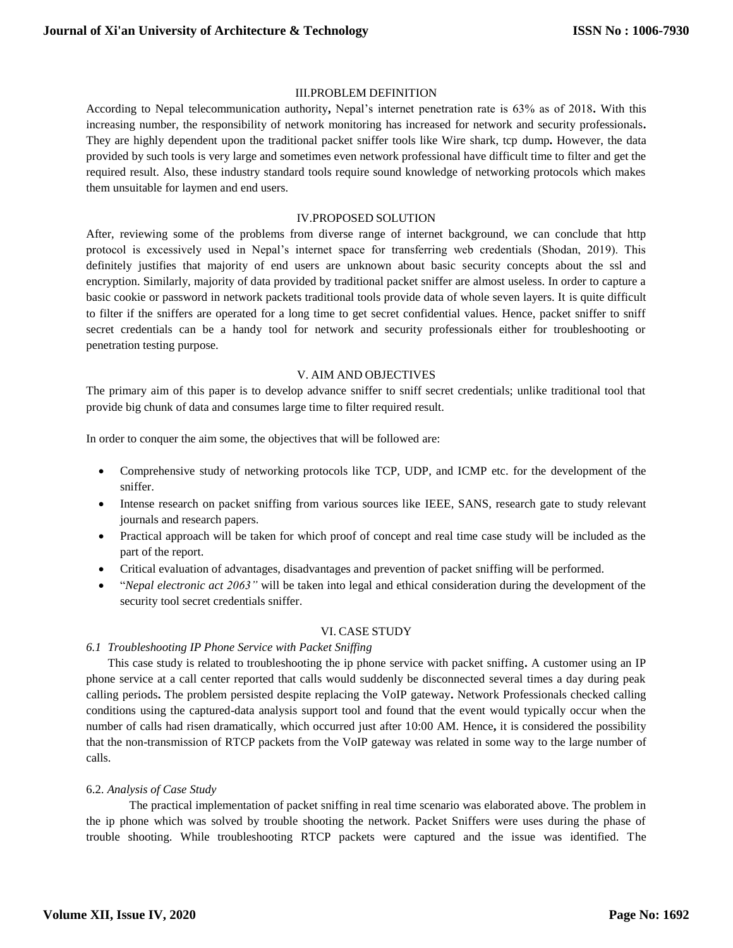#### III.PROBLEM DEFINITION

According to Nepal telecommunication authority**,** Nepal's internet penetration rate is 63% as of 2018**.** With this increasing number, the responsibility of network monitoring has increased for network and security professionals**.**  They are highly dependent upon the traditional packet sniffer tools like Wire shark, tcp dump**.** However, the data provided by such tools is very large and sometimes even network professional have difficult time to filter and get the required result. Also, these industry standard tools require sound knowledge of networking protocols which makes them unsuitable for laymen and end users.

#### IV.PROPOSED SOLUTION

After, reviewing some of the problems from diverse range of internet background, we can conclude that http protocol is excessively used in Nepal's internet space for transferring web credentials (Shodan, 2019). This definitely justifies that majority of end users are unknown about basic security concepts about the ssl and encryption. Similarly, majority of data provided by traditional packet sniffer are almost useless. In order to capture a basic cookie or password in network packets traditional tools provide data of whole seven layers. It is quite difficult to filter if the sniffers are operated for a long time to get secret confidential values. Hence, packet sniffer to sniff secret credentials can be a handy tool for network and security professionals either for troubleshooting or penetration testing purpose.

#### V. AIM AND OBJECTIVES

The primary aim of this paper is to develop advance sniffer to sniff secret credentials; unlike traditional tool that provide big chunk of data and consumes large time to filter required result.

In order to conquer the aim some, the objectives that will be followed are:

- Comprehensive study of networking protocols like TCP, UDP, and ICMP etc. for the development of the sniffer.
- Intense research on packet sniffing from various sources like IEEE, SANS, research gate to study relevant journals and research papers.
- Practical approach will be taken for which proof of concept and real time case study will be included as the part of the report.
- Critical evaluation of advantages, disadvantages and prevention of packet sniffing will be performed.
- "*Nepal electronic act 2063"* will be taken into legal and ethical consideration during the development of the security tool secret credentials sniffer.

#### VI. CASE STUDY

#### *6.1 Troubleshooting IP Phone Service with Packet Sniffing*

This case study is related to troubleshooting the ip phone service with packet sniffing**.** A customer using an IP phone service at a call center reported that calls would suddenly be disconnected several times a day during peak calling periods**.** The problem persisted despite replacing the VoIP gateway**.** Network Professionals checked calling conditions using the captured-data analysis support tool and found that the event would typically occur when the number of calls had risen dramatically, which occurred just after 10:00 AM. Hence**,** it is considered the possibility that the non-transmission of RTCP packets from the VoIP gateway was related in some way to the large number of calls.

#### 6.2*. Analysis of Case Study*

The practical implementation of packet sniffing in real time scenario was elaborated above. The problem in the ip phone which was solved by trouble shooting the network. Packet Sniffers were uses during the phase of trouble shooting. While troubleshooting RTCP packets were captured and the issue was identified. The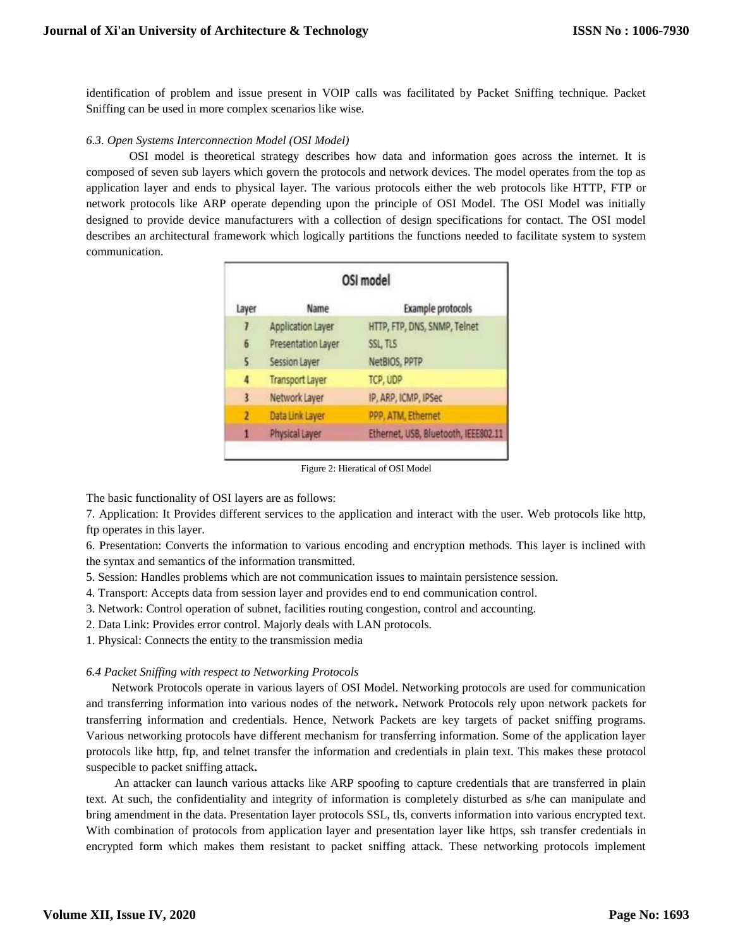identification of problem and issue present in VOIP calls was facilitated by Packet Sniffing technique. Packet Sniffing can be used in more complex scenarios like wise.

# *6.3. Open Systems Interconnection Model (OSI Model)*

OSI model is theoretical strategy describes how data and information goes across the internet. It is composed of seven sub layers which govern the protocols and network devices. The model operates from the top as application layer and ends to physical layer. The various protocols either the web protocols like HTTP, FTP or network protocols like ARP operate depending upon the principle of OSI Model. The OSI Model was initially designed to provide device manufacturers with a collection of design specifications for contact. The OSI model describes an architectural framework which logically partitions the functions needed to facilitate system to system communication.

| OSI model               |                        |                                      |
|-------------------------|------------------------|--------------------------------------|
| Layer                   | Name                   | <b>Example protocols</b>             |
|                         | Application Layer      | HTTP, FTP, DNS, SNMP, Telnet         |
| 6                       | Presentation Layer     | SSL, TLS                             |
| $\overline{\mathbf{5}}$ | <b>Session Layer</b>   | NetBIOS, PPTP                        |
| 4                       | <b>Transport Layer</b> | TCP, UDP                             |
| 3.                      | Network Layer          | IP, ARP, ICMP, IPSec                 |
| 2                       | Data Link Layer        | PPP, ATM, Ethernet                   |
| 1                       | Physical Layer         | Ethernet, USB, Bluetooth, IEEE802.11 |

Figure 2: Hieratical of OSI Model

The basic functionality of OSI layers are as follows:

7. Application: It Provides different services to the application and interact with the user. Web protocols like http, ftp operates in this layer.

6. Presentation: Converts the information to various encoding and encryption methods. This layer is inclined with the syntax and semantics of the information transmitted.

- 5. Session: Handles problems which are not communication issues to maintain persistence session.
- 4. Transport: Accepts data from session layer and provides end to end communication control.
- 3. Network: Control operation of subnet, facilities routing congestion, control and accounting.
- 2. Data Link: Provides error control. Majorly deals with LAN protocols.
- 1. Physical: Connects the entity to the transmission media

# *6.4 Packet Sniffing with respect to Networking Protocols*

Network Protocols operate in various layers of OSI Model. Networking protocols are used for communication and transferring information into various nodes of the network**.** Network Protocols rely upon network packets for transferring information and credentials. Hence, Network Packets are key targets of packet sniffing programs. Various networking protocols have different mechanism for transferring information. Some of the application layer protocols like http, ftp, and telnet transfer the information and credentials in plain text. This makes these protocol suspecible to packet sniffing attack**.**

An attacker can launch various attacks like ARP spoofing to capture credentials that are transferred in plain text. At such, the confidentiality and integrity of information is completely disturbed as s/he can manipulate and bring amendment in the data. Presentation layer protocols SSL, tls, converts information into various encrypted text. With combination of protocols from application layer and presentation layer like https, ssh transfer credentials in encrypted form which makes them resistant to packet sniffing attack. These networking protocols implement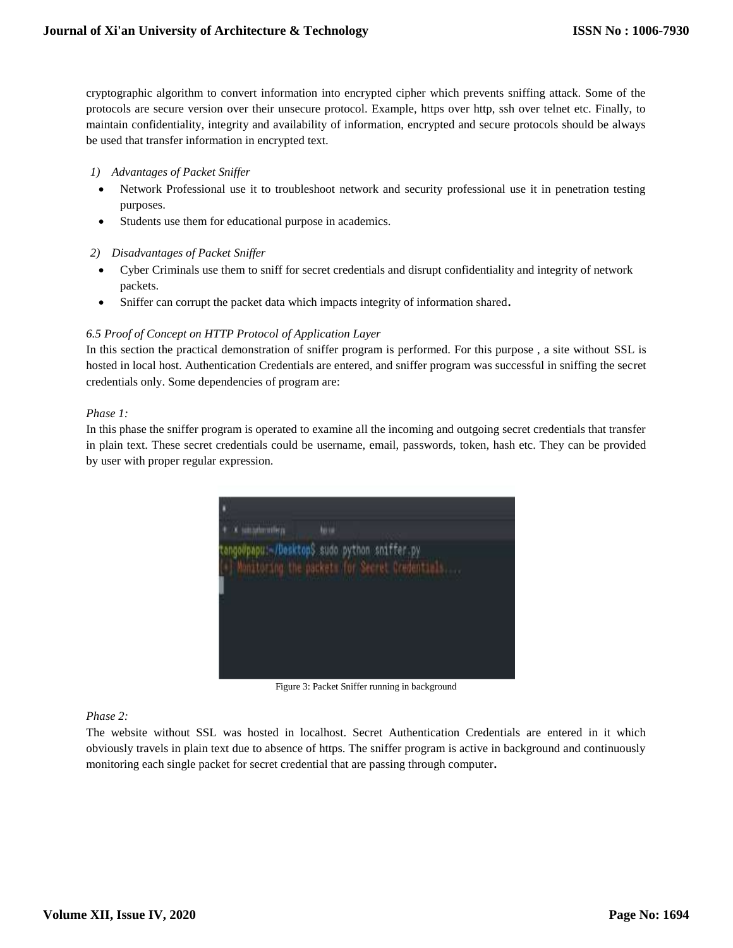cryptographic algorithm to convert information into encrypted cipher which prevents sniffing attack. Some of the protocols are secure version over their unsecure protocol. Example, https over http, ssh over telnet etc. Finally, to maintain confidentiality, integrity and availability of information, encrypted and secure protocols should be always be used that transfer information in encrypted text.

- *1) Advantages of Packet Sniffer*
- Network Professional use it to troubleshoot network and security professional use it in penetration testing purposes.
- Students use them for educational purpose in academics.
- *2) Disadvantages of Packet Sniffer*
- Cyber Criminals use them to sniff for secret credentials and disrupt confidentiality and integrity of network packets.
- Sniffer can corrupt the packet data which impacts integrity of information shared**.**

#### *6.5 Proof of Concept on HTTP Protocol of Application Layer*

In this section the practical demonstration of sniffer program is performed. For this purpose , a site without SSL is hosted in local host. Authentication Credentials are entered, and sniffer program was successful in sniffing the secret credentials only. Some dependencies of program are:

#### *Phase 1:*

In this phase the sniffer program is operated to examine all the incoming and outgoing secret credentials that transfer in plain text. These secret credentials could be username, email, passwords, token, hash etc. They can be provided by user with proper regular expression.



Figure 3: Packet Sniffer running in background

# *Phase 2:*

The website without SSL was hosted in localhost. Secret Authentication Credentials are entered in it which obviously travels in plain text due to absence of https. The sniffer program is active in background and continuously monitoring each single packet for secret credential that are passing through computer**.**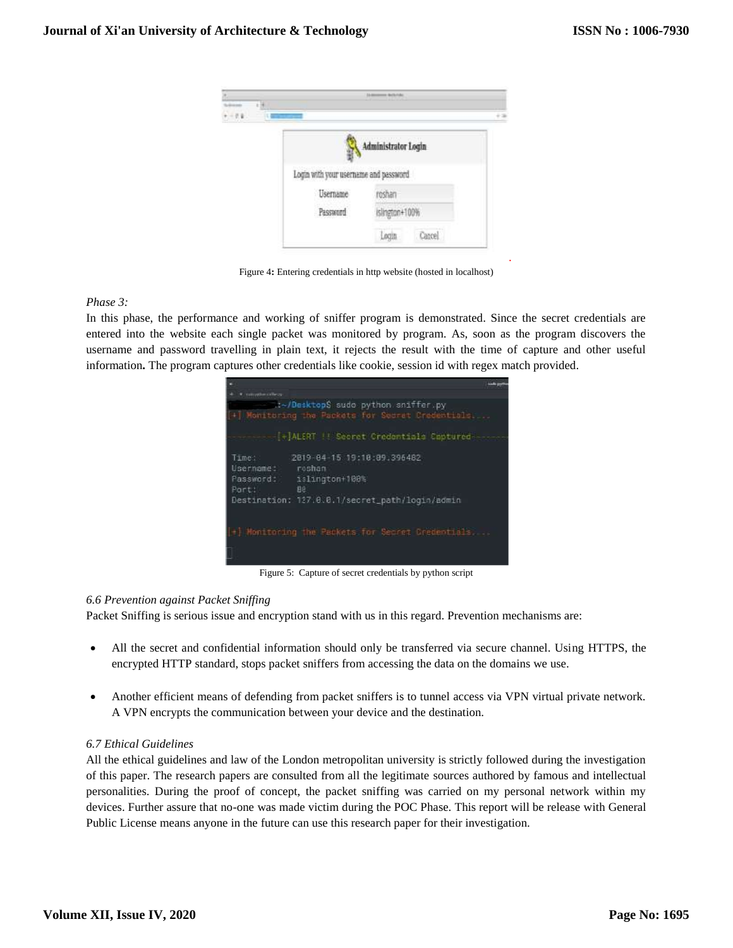

Figure 4**:** Entering credentials in http website (hosted in localhost)

*Phase 3:* 

In this phase, the performance and working of sniffer program is demonstrated. Since the secret credentials are entered into the website each single packet was monitored by program. As, soon as the program discovers the username and password travelling in plain text, it rejects the result with the time of capture and other useful information**.** The program captures other credentials like cookie, session id with regex match provided.



Figure 5: Capture of secret credentials by python script

# *6.6 Prevention against Packet Sniffing*

Packet Sniffing is serious issue and encryption stand with us in this regard. Prevention mechanisms are:

- All the secret and confidential information should only be transferred via secure channel. Using HTTPS, the encrypted HTTP standard, stops packet sniffers from accessing the data on the domains we use.
- Another efficient means of defending from packet sniffers is to tunnel access via VPN virtual private network. A VPN encrypts the communication between your device and the destination.

# *6.7 Ethical Guidelines*

All the ethical guidelines and law of the London metropolitan university is strictly followed during the investigation of this paper. The research papers are consulted from all the legitimate sources authored by famous and intellectual personalities. During the proof of concept, the packet sniffing was carried on my personal network within my devices. Further assure that no-one was made victim during the POC Phase. This report will be release with General Public License means anyone in the future can use this research paper for their investigation.